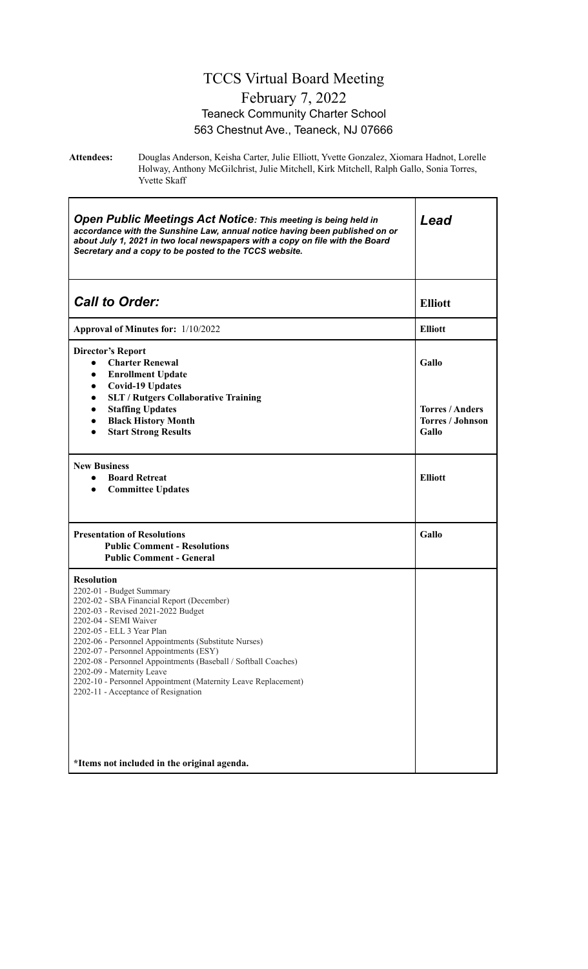#### TCCS Virtual Board Meeting February 7, 2022 Teaneck Community Charter School 563 Chestnut Ave., Teaneck, NJ 07666

**Attendees:** Douglas Anderson, Keisha Carter, Julie Elliott, Yvette Gonzalez, Xiomara Hadnot, Lorelle Holway, Anthony McGilchrist, Julie Mitchell, Kirk Mitchell, Ralph Gallo, Sonia Torres, Yvette Skaff

| <b>Open Public Meetings Act Notice: This meeting is being held in</b><br>accordance with the Sunshine Law, annual notice having been published on or<br>about July 1, 2021 in two local newspapers with a copy on file with the Board<br>Secretary and a copy to be posted to the TCCS website.                                                                                                                                                                                                                                                | Lead                                                                |
|------------------------------------------------------------------------------------------------------------------------------------------------------------------------------------------------------------------------------------------------------------------------------------------------------------------------------------------------------------------------------------------------------------------------------------------------------------------------------------------------------------------------------------------------|---------------------------------------------------------------------|
| <b>Call to Order:</b>                                                                                                                                                                                                                                                                                                                                                                                                                                                                                                                          | <b>Elliott</b>                                                      |
| Approval of Minutes for: 1/10/2022                                                                                                                                                                                                                                                                                                                                                                                                                                                                                                             | <b>Elliott</b>                                                      |
| <b>Director's Report</b><br><b>Charter Renewal</b><br>$\bullet$<br><b>Enrollment Update</b><br>$\bullet$<br><b>Covid-19 Updates</b><br>$\bullet$<br><b>SLT / Rutgers Collaborative Training</b><br>$\bullet$<br><b>Staffing Updates</b><br>$\bullet$<br><b>Black History Month</b><br>$\bullet$<br><b>Start Strong Results</b><br>$\bullet$                                                                                                                                                                                                    | Gallo<br><b>Torres / Anders</b><br><b>Torres / Johnson</b><br>Gallo |
| <b>New Business</b><br><b>Board Retreat</b><br>$\bullet$<br><b>Committee Updates</b><br>$\bullet$                                                                                                                                                                                                                                                                                                                                                                                                                                              | <b>Elliott</b>                                                      |
| <b>Presentation of Resolutions</b><br><b>Public Comment - Resolutions</b><br><b>Public Comment - General</b>                                                                                                                                                                                                                                                                                                                                                                                                                                   | Gallo                                                               |
| <b>Resolution</b><br>2202-01 - Budget Summary<br>2202-02 - SBA Financial Report (December)<br>2202-03 - Revised 2021-2022 Budget<br>2202-04 - SEMI Waiver<br>2202-05 - ELL 3 Year Plan<br>2202-06 - Personnel Appointments (Substitute Nurses)<br>2202-07 - Personnel Appointments (ESY)<br>2202-08 - Personnel Appointments (Baseball / Softball Coaches)<br>2202-09 - Maternity Leave<br>2202-10 - Personnel Appointment (Maternity Leave Replacement)<br>2202-11 - Acceptance of Resignation<br>*Items not included in the original agenda. |                                                                     |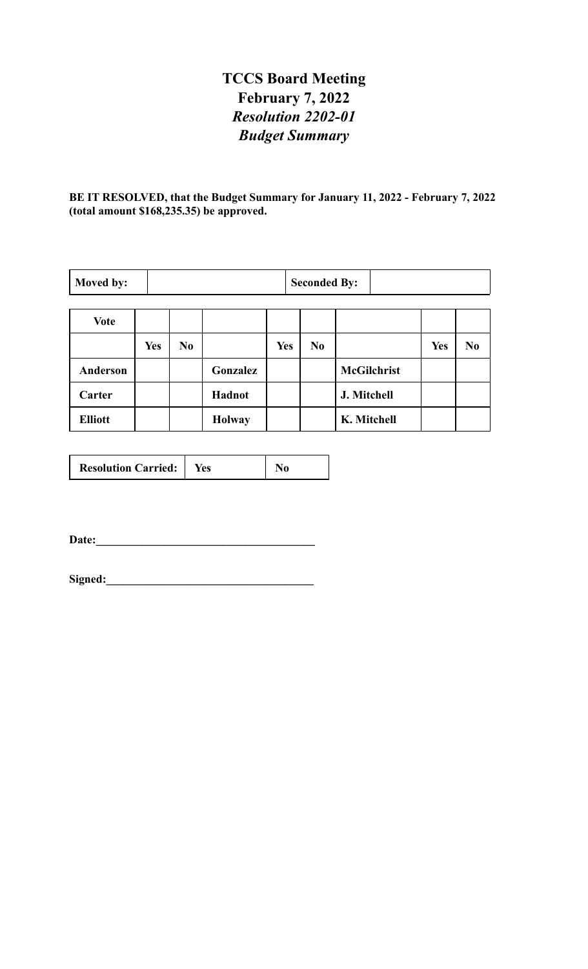## **TCCS Board Meeting February 7, 2022** *Resolution 2202-01 Budget Summary*

**BE IT RESOLVED, that the Budget Summary for January 11, 2022 - February 7, 2022 (total amount \$168,235.35) be approved.**

| Moved by:      |            | <b>Seconded By:</b> |               |            |  |    |                    |            |                |
|----------------|------------|---------------------|---------------|------------|--|----|--------------------|------------|----------------|
|                |            |                     |               |            |  |    |                    |            |                |
| <b>Vote</b>    |            |                     |               |            |  |    |                    |            |                |
|                | <b>Yes</b> | N <sub>0</sub>      |               | <b>Yes</b> |  | No |                    | <b>Yes</b> | N <sub>0</sub> |
| Anderson       |            |                     | Gonzalez      |            |  |    | <b>McGilchrist</b> |            |                |
| Carter         |            |                     | Hadnot        |            |  |    | J. Mitchell        |            |                |
| <b>Elliott</b> |            |                     | <b>Holway</b> |            |  |    | K. Mitchell        |            |                |

| <b>Resolution Carried:</b> | tes |  |
|----------------------------|-----|--|
|----------------------------|-----|--|

**Date:\_\_\_\_\_\_\_\_\_\_\_\_\_\_\_\_\_\_\_\_\_\_\_\_\_\_\_\_\_\_\_\_\_\_\_\_\_\_**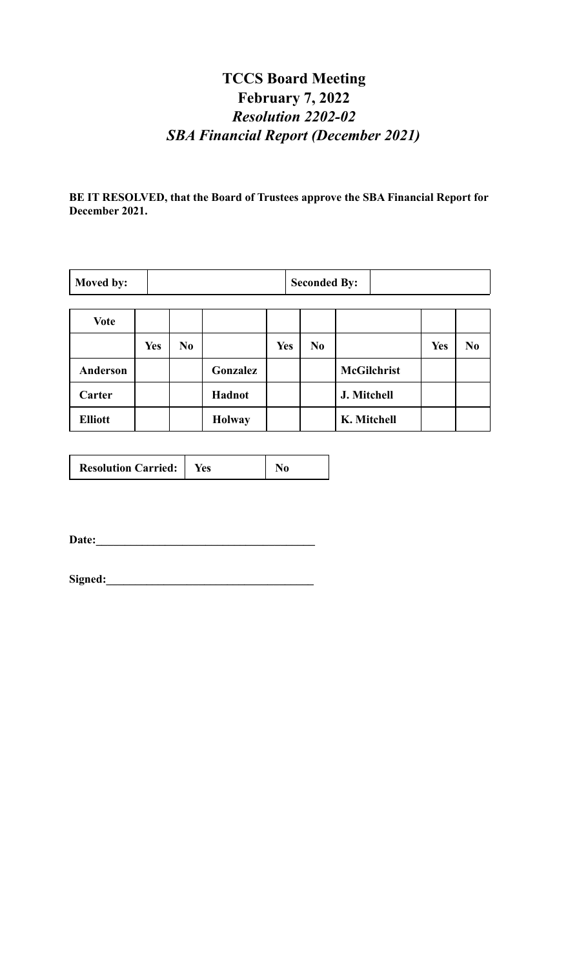## **TCCS Board Meeting February 7, 2022** *Resolution 2202-02 SBA Financial Report (December 2021)*

**BE IT RESOLVED, that the Board of Trustees approve the SBA Financial Report for December 2021.**

| Moved by:      |            | <b>Seconded By:</b> |               |            |                |                    |            |                |
|----------------|------------|---------------------|---------------|------------|----------------|--------------------|------------|----------------|
|                |            |                     |               |            |                |                    |            |                |
| <b>Vote</b>    |            |                     |               |            |                |                    |            |                |
|                | <b>Yes</b> | N <sub>0</sub>      |               | <b>Yes</b> | N <sub>0</sub> |                    | <b>Yes</b> | N <sub>0</sub> |
| Anderson       |            |                     | Gonzalez      |            |                | <b>McGilchrist</b> |            |                |
| Carter         |            |                     | Hadnot        |            |                | J. Mitchell        |            |                |
| <b>Elliott</b> |            |                     | <b>Holway</b> |            |                | K. Mitchell        |            |                |

| <b>Resolution Carried:</b> | tes |  |
|----------------------------|-----|--|
|----------------------------|-----|--|

**Date:\_\_\_\_\_\_\_\_\_\_\_\_\_\_\_\_\_\_\_\_\_\_\_\_\_\_\_\_\_\_\_\_\_\_\_\_\_\_**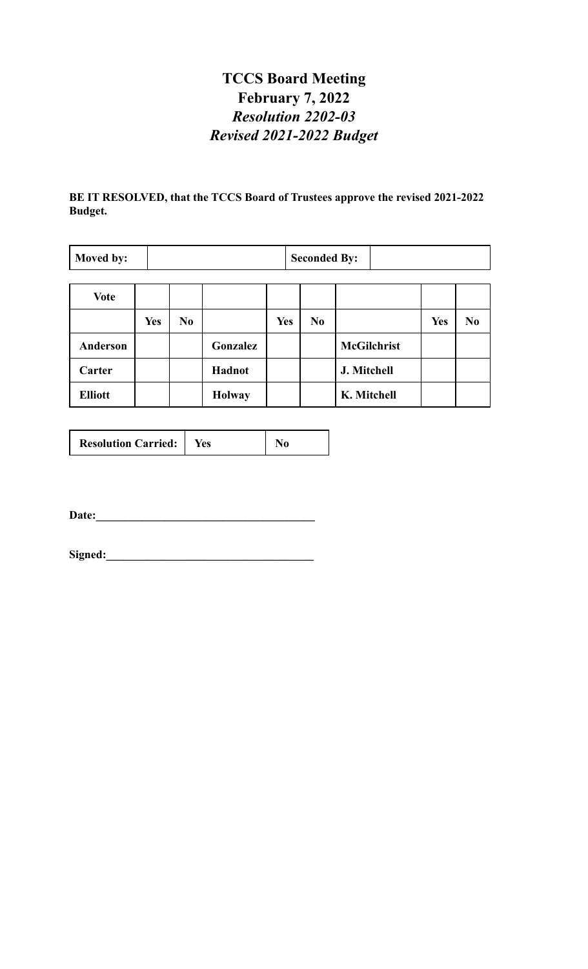## **TCCS Board Meeting February 7, 2022** *Resolution 2202-03 Revised 2021-2022 Budget*

**BE IT RESOLVED, that the TCCS Board of Trustees approve the revised 2021-2022 Budget.**

| Moved by:      | <b>Seconded By:</b> |                |               |            |                |                    |            |                |
|----------------|---------------------|----------------|---------------|------------|----------------|--------------------|------------|----------------|
|                |                     |                |               |            |                |                    |            |                |
| <b>Vote</b>    |                     |                |               |            |                |                    |            |                |
|                | <b>Yes</b>          | N <sub>0</sub> |               | <b>Yes</b> | N <sub>0</sub> |                    | <b>Yes</b> | N <sub>0</sub> |
| Anderson       |                     |                | Gonzalez      |            |                | <b>McGilchrist</b> |            |                |
| Carter         |                     |                | Hadnot        |            |                | J. Mitchell        |            |                |
| <b>Elliott</b> |                     |                | <b>Holway</b> |            |                | K. Mitchell        |            |                |

|--|

**Date:\_\_\_\_\_\_\_\_\_\_\_\_\_\_\_\_\_\_\_\_\_\_\_\_\_\_\_\_\_\_\_\_\_\_\_\_\_\_**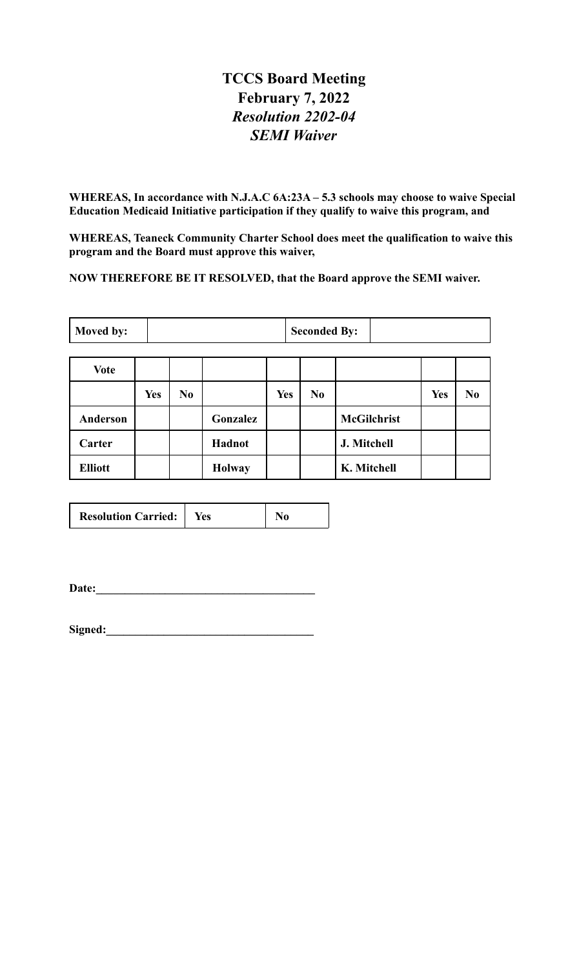#### **TCCS Board Meeting February 7, 2022** *Resolution 2202-04 SEMI Waiver*

**WHEREAS, In accordance with N.J.A.C 6A:23A – 5.3 schools may choose to waive Special Education Medicaid Initiative participation if they qualify to waive this program, and**

**WHEREAS, Teaneck Community Charter School does meet the qualification to waive this program and the Board must approve this waiver,**

**NOW THEREFORE BE IT RESOLVED, that the Board approve the SEMI waiver.**

| Moved by:      |            | <b>Seconded By:</b> |               |            |    |                    |            |                |
|----------------|------------|---------------------|---------------|------------|----|--------------------|------------|----------------|
|                |            |                     |               |            |    |                    |            |                |
| <b>Vote</b>    |            |                     |               |            |    |                    |            |                |
|                | <b>Yes</b> | No                  |               | <b>Yes</b> | No |                    | <b>Yes</b> | N <sub>0</sub> |
| Anderson       |            |                     | Gonzalez      |            |    | <b>McGilchrist</b> |            |                |
| Carter         |            |                     | <b>Hadnot</b> |            |    | J. Mitchell        |            |                |
| <b>Elliott</b> |            |                     | <b>Holway</b> |            |    | K. Mitchell        |            |                |

| <b>Resolution Carried:</b> | Yes |  |
|----------------------------|-----|--|
|----------------------------|-----|--|

**Date:\_\_\_\_\_\_\_\_\_\_\_\_\_\_\_\_\_\_\_\_\_\_\_\_\_\_\_\_\_\_\_\_\_\_\_\_\_\_**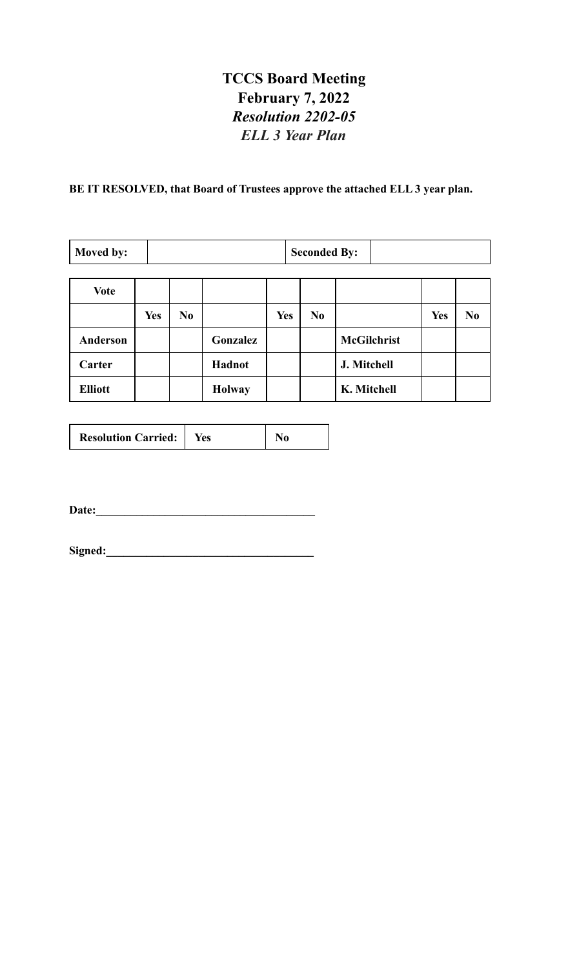#### **TCCS Board Meeting February 7, 2022** *Resolution 2202-05 ELL 3 Year Plan*

# **BE IT RESOLVED, that Board of Trustees approve the attached ELL 3 year plan.**

| Moved by:       |            | <b>Seconded By:</b> |               |            |                |                    |            |                |
|-----------------|------------|---------------------|---------------|------------|----------------|--------------------|------------|----------------|
|                 |            |                     |               |            |                |                    |            |                |
| <b>Vote</b>     |            |                     |               |            |                |                    |            |                |
|                 | <b>Yes</b> | N <sub>0</sub>      |               | <b>Yes</b> | N <sub>0</sub> |                    | <b>Yes</b> | N <sub>0</sub> |
| <b>Anderson</b> |            |                     | Gonzalez      |            |                | <b>McGilchrist</b> |            |                |
| Carter          |            |                     | <b>Hadnot</b> |            |                | J. Mitchell        |            |                |
| <b>Elliott</b>  |            |                     | <b>Holway</b> |            |                | K. Mitchell        |            |                |

| <b>Resolution Carried:</b> | ⁄es |  |
|----------------------------|-----|--|
|                            |     |  |

**Date:\_\_\_\_\_\_\_\_\_\_\_\_\_\_\_\_\_\_\_\_\_\_\_\_\_\_\_\_\_\_\_\_\_\_\_\_\_\_**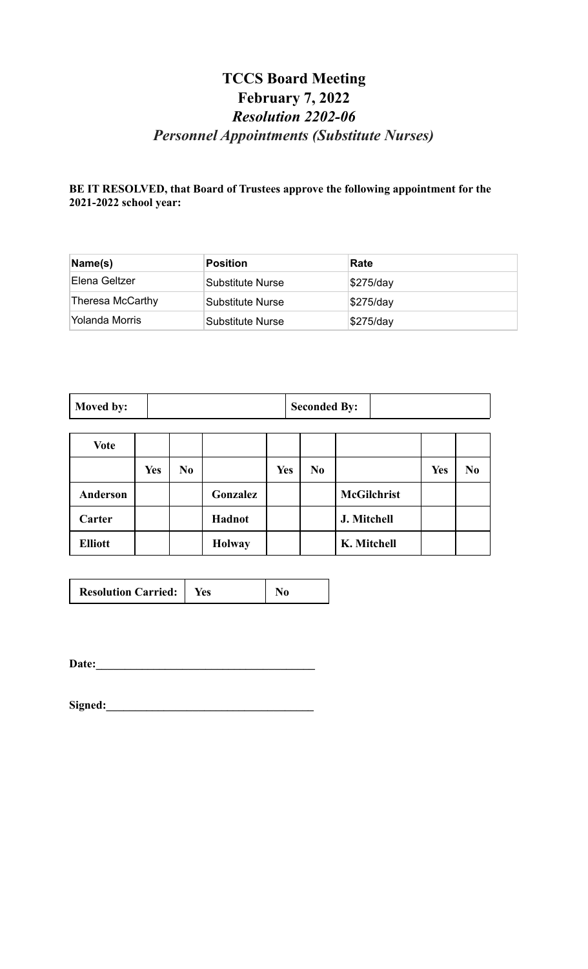#### **TCCS Board Meeting February 7, 2022** *Resolution 2202-06 Personnel Appointments (Substitute Nurses)*

#### **BE IT RESOLVED, that Board of Trustees approve the following appointment for the 2021-2022 school year:**

| Name(s)          | <b>Position</b>  | Rate      |
|------------------|------------------|-----------|
| ∣Elena Geltzer   | Substitute Nurse | \$275/day |
| Theresa McCarthy | Substitute Nurse | \$275/day |
| Yolanda Morris   | Substitute Nurse | \$275/day |

| Moved by:      |            | <b>Seconded By:</b> |               |            |                |                    |            |                |
|----------------|------------|---------------------|---------------|------------|----------------|--------------------|------------|----------------|
| Vote           |            |                     |               |            |                |                    |            |                |
|                | <b>Yes</b> | N <sub>0</sub>      |               | <b>Yes</b> | N <sub>0</sub> |                    | <b>Yes</b> | N <sub>0</sub> |
| Anderson       |            |                     | Gonzalez      |            |                | <b>McGilchrist</b> |            |                |
| Carter         |            |                     | Hadnot        |            |                | J. Mitchell        |            |                |
| <b>Elliott</b> |            |                     | <b>Holway</b> |            |                | K. Mitchell        |            |                |

| <b>Resolution Carried:</b> | res |  |
|----------------------------|-----|--|
|----------------------------|-----|--|

**Date:\_\_\_\_\_\_\_\_\_\_\_\_\_\_\_\_\_\_\_\_\_\_\_\_\_\_\_\_\_\_\_\_\_\_\_\_\_\_**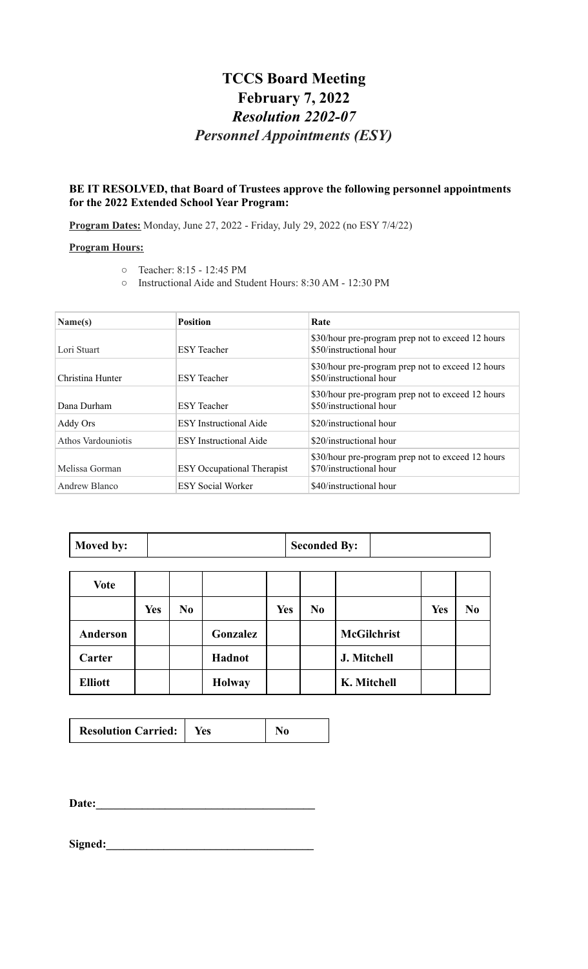#### **TCCS Board Meeting February 7, 2022** *Resolution 2202-07 Personnel Appointments (ESY)*

#### **BE IT RESOLVED, that Board of Trustees approve the following personnel appointments for the 2022 Extended School Year Program:**

**Program Dates:** Monday, June 27, 2022 - Friday, July 29, 2022 (no ESY 7/4/22)

#### **Program Hours:**

- Teacher: 8:15 12:45 PM
- Instructional Aide and Student Hours: 8:30 AM 12:30 PM

| Name(s)            | <b>Position</b>                   | Rate                                                                         |
|--------------------|-----------------------------------|------------------------------------------------------------------------------|
| Lori Stuart        | <b>ESY</b> Teacher                | \$30/hour pre-program prep not to exceed 12 hours<br>\$50/instructional hour |
| Christina Hunter   | <b>ESY</b> Teacher                | \$30/hour pre-program prep not to exceed 12 hours<br>\$50/instructional hour |
| Dana Durham        | <b>ESY</b> Teacher                | \$30/hour pre-program prep not to exceed 12 hours<br>\$50/instructional hour |
| Addy Ors           | <b>ESY</b> Instructional Aide     | \$20/instructional hour                                                      |
| Athos Vardouniotis | <b>ESY</b> Instructional Aide     | \$20/instructional hour                                                      |
| Melissa Gorman     | <b>ESY</b> Occupational Therapist | \$30/hour pre-program prep not to exceed 12 hours<br>\$70/instructional hour |
| Andrew Blanco      | <b>ESY Social Worker</b>          | \$40/instructional hour                                                      |

| <b>Moved by:</b> |  | <b>Seconded By:</b> |  |
|------------------|--|---------------------|--|
|------------------|--|---------------------|--|

| <b>Vote</b>     |            |                |               |     |                |                    |            |                |
|-----------------|------------|----------------|---------------|-----|----------------|--------------------|------------|----------------|
|                 | <b>Yes</b> | N <sub>0</sub> |               | Yes | N <sub>0</sub> |                    | <b>Yes</b> | N <sub>0</sub> |
| <b>Anderson</b> |            |                | Gonzalez      |     |                | <b>McGilchrist</b> |            |                |
| Carter          |            |                | Hadnot        |     |                | J. Mitchell        |            |                |
| <b>Elliott</b>  |            |                | <b>Holway</b> |     |                | K. Mitchell        |            |                |

|--|

**Date:\_\_\_\_\_\_\_\_\_\_\_\_\_\_\_\_\_\_\_\_\_\_\_\_\_\_\_\_\_\_\_\_\_\_\_\_\_\_**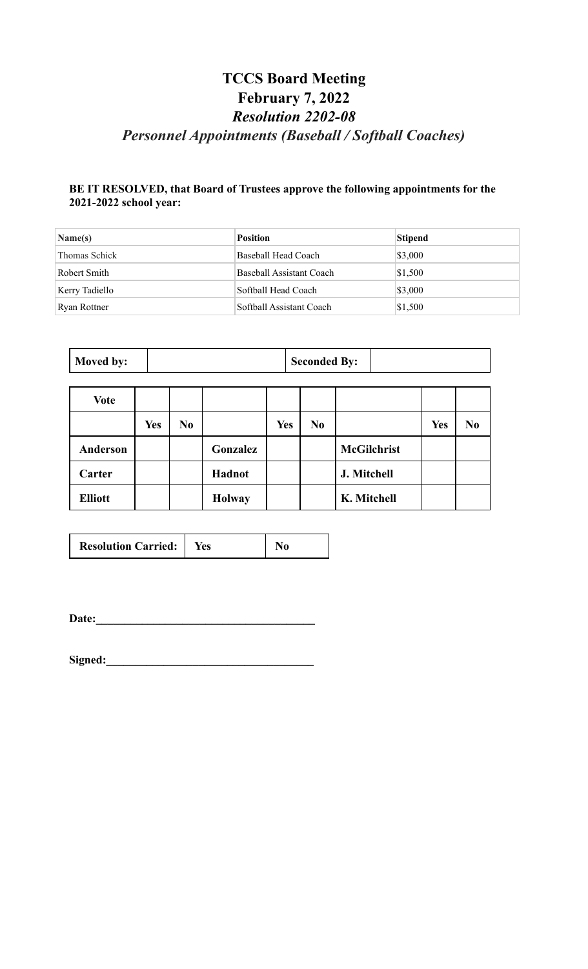### **TCCS Board Meeting February 7, 2022** *Resolution 2202-08 Personnel Appointments (Baseball / Softball Coaches)*

#### **BE IT RESOLVED, that Board of Trustees approve the following appointments for the 2021-2022 school year:**

| $\mathbf{Name}(s)$ | <b>Position</b>          | Stipend |
|--------------------|--------------------------|---------|
| Thomas Schick      | Baseball Head Coach      | \$3,000 |
| Robert Smith       | Baseball Assistant Coach | \$1,500 |
| Kerry Tadiello     | Softball Head Coach      | \$3,000 |
| Ryan Rottner       | Softball Assistant Coach | \$1,500 |

| Moved by:      |            |    |               |     | <b>Seconded By:</b> |                |                    |            |                |
|----------------|------------|----|---------------|-----|---------------------|----------------|--------------------|------------|----------------|
| <b>Vote</b>    |            |    |               |     |                     |                |                    |            |                |
|                | <b>Yes</b> | No |               | Yes |                     | N <sub>0</sub> |                    | <b>Yes</b> | N <sub>0</sub> |
| Anderson       |            |    | Gonzalez      |     |                     |                | <b>McGilchrist</b> |            |                |
| Carter         |            |    | <b>Hadnot</b> |     |                     |                | J. Mitchell        |            |                |
| <b>Elliott</b> |            |    | <b>Holway</b> |     |                     |                | K. Mitchell        |            |                |

| <b>Resolution Carried:</b> | Yes: |  |
|----------------------------|------|--|
|----------------------------|------|--|

**Date:\_\_\_\_\_\_\_\_\_\_\_\_\_\_\_\_\_\_\_\_\_\_\_\_\_\_\_\_\_\_\_\_\_\_\_\_\_\_**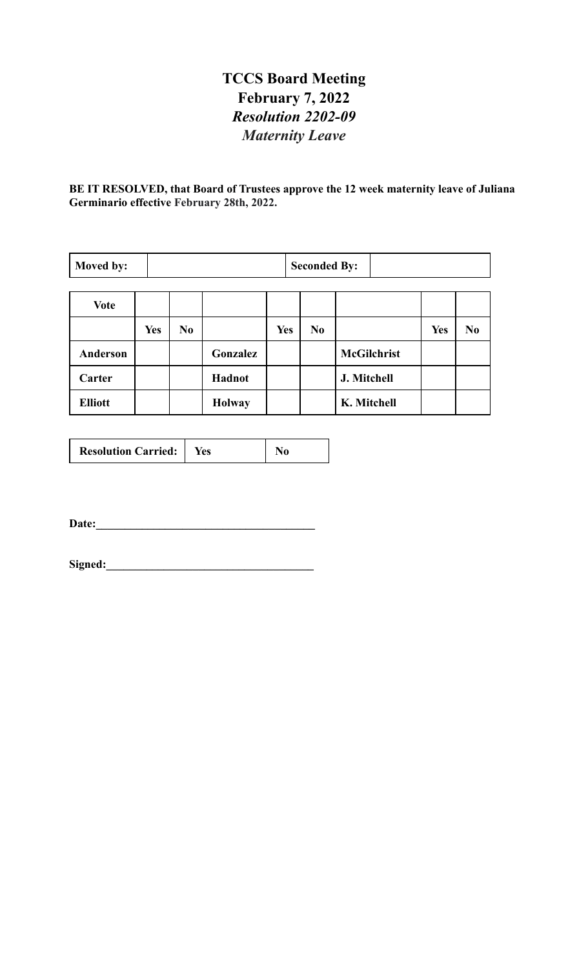## **TCCS Board Meeting February 7, 2022** *Resolution 2202-09 Maternity Leave*

**BE IT RESOLVED, that Board of Trustees approve the 12 week maternity leave of Juliana Germinario effective February 28th, 2022.**

| Moved by:      |            | <b>Seconded By:</b> |               |            |    |                    |            |                |
|----------------|------------|---------------------|---------------|------------|----|--------------------|------------|----------------|
| <b>Vote</b>    |            |                     |               |            |    |                    |            |                |
|                | <b>Yes</b> | N <sub>0</sub>      |               | <b>Yes</b> | No |                    | <b>Yes</b> | N <sub>0</sub> |
| Anderson       |            |                     | Gonzalez      |            |    | <b>McGilchrist</b> |            |                |
| Carter         |            |                     | Hadnot        |            |    | J. Mitchell        |            |                |
| <b>Elliott</b> |            |                     | <b>Holway</b> |            |    | K. Mitchell        |            |                |

| <b>Resolution Carried:</b> | Yes |  |
|----------------------------|-----|--|
|----------------------------|-----|--|

**Date:\_\_\_\_\_\_\_\_\_\_\_\_\_\_\_\_\_\_\_\_\_\_\_\_\_\_\_\_\_\_\_\_\_\_\_\_\_\_**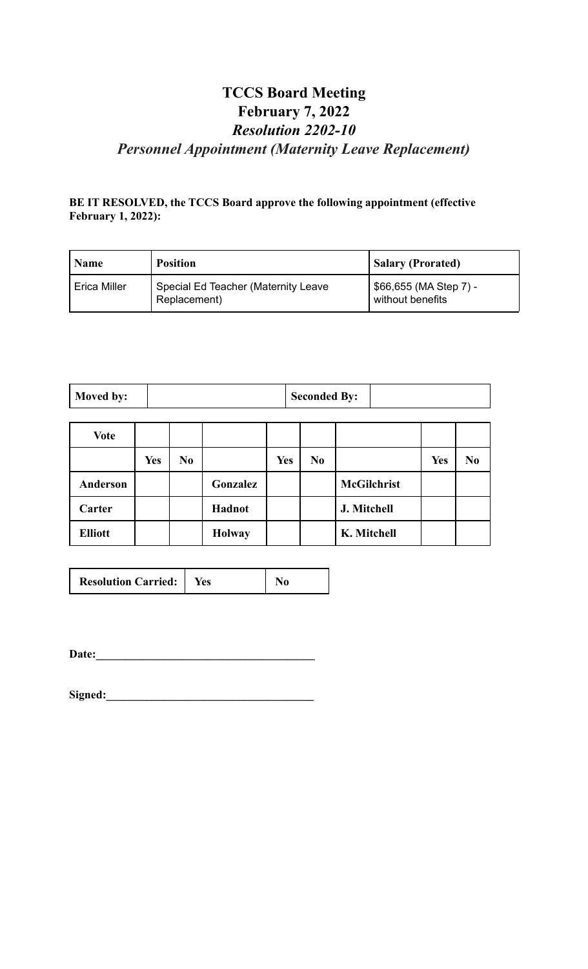### **TCCS Board Meeting February 7, 2022** *Resolution 2202-10 Personnel Appointment (Maternity Leave Replacement)*

#### **BE IT RESOLVED, the TCCS Board approve the following appointment (effective February 1, 2022):**

| <b>Name</b>  | <b>Position</b>                                     | <b>Salary (Prorated)</b>                   |
|--------------|-----------------------------------------------------|--------------------------------------------|
| Erica Miller | Special Ed Teacher (Maternity Leave<br>Replacement) | \$66,655 (MA Step 7) -<br>without benefits |

| Moved by: | <b>Seconded By:</b> |  |
|-----------|---------------------|--|
|-----------|---------------------|--|

| <b>Vote</b>    |            |                |               |            |                |                    |            |                |
|----------------|------------|----------------|---------------|------------|----------------|--------------------|------------|----------------|
|                | <b>Yes</b> | N <sub>0</sub> |               | <b>Yes</b> | N <sub>0</sub> |                    | <b>Yes</b> | N <sub>0</sub> |
| Anderson       |            |                | Gonzalez      |            |                | <b>McGilchrist</b> |            |                |
| Carter         |            |                | Hadnot        |            |                | J. Mitchell        |            |                |
| <b>Elliott</b> |            |                | <b>Holway</b> |            |                | K. Mitchell        |            |                |

| <b>Resolution Carried:</b> | res |  |
|----------------------------|-----|--|
|----------------------------|-----|--|

**Date:\_\_\_\_\_\_\_\_\_\_\_\_\_\_\_\_\_\_\_\_\_\_\_\_\_\_\_\_\_\_\_\_\_\_\_\_\_\_**